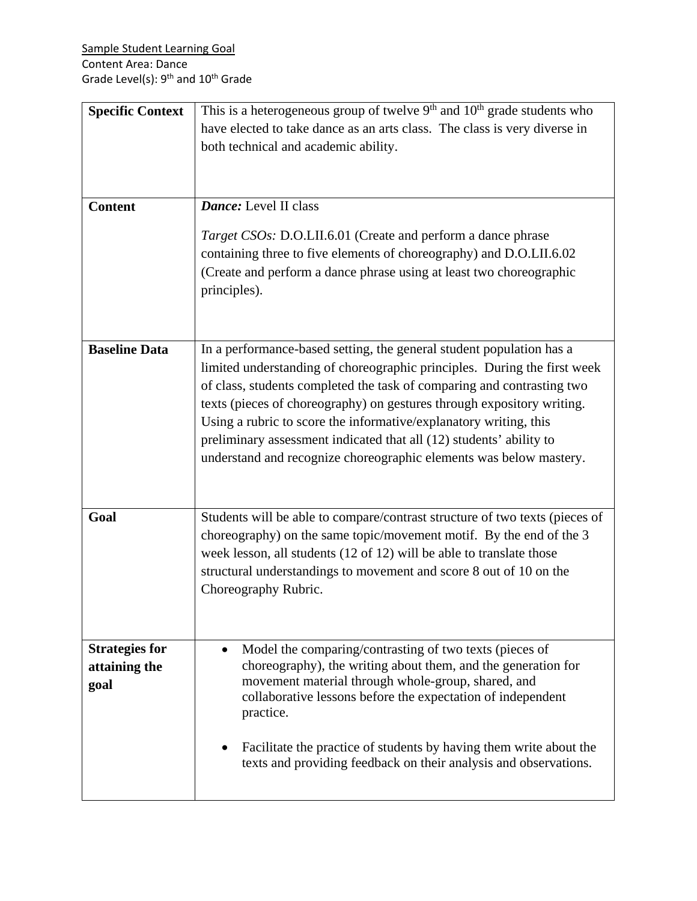| <b>Specific Context</b> | This is a heterogeneous group of twelve $9th$ and $10th$ grade students who                                         |
|-------------------------|---------------------------------------------------------------------------------------------------------------------|
|                         | have elected to take dance as an arts class. The class is very diverse in                                           |
|                         | both technical and academic ability.                                                                                |
|                         |                                                                                                                     |
|                         |                                                                                                                     |
|                         |                                                                                                                     |
| <b>Content</b>          | Dance: Level II class                                                                                               |
|                         | Target CSOs: D.O.LII.6.01 (Create and perform a dance phrase                                                        |
|                         | containing three to five elements of choreography) and D.O.LII.6.02                                                 |
|                         | (Create and perform a dance phrase using at least two choreographic                                                 |
|                         | principles).                                                                                                        |
|                         |                                                                                                                     |
|                         |                                                                                                                     |
|                         |                                                                                                                     |
| <b>Baseline Data</b>    | In a performance-based setting, the general student population has a                                                |
|                         | limited understanding of choreographic principles. During the first week                                            |
|                         | of class, students completed the task of comparing and contrasting two                                              |
|                         | texts (pieces of choreography) on gestures through expository writing.                                              |
|                         | Using a rubric to score the informative/explanatory writing, this                                                   |
|                         | preliminary assessment indicated that all (12) students' ability to                                                 |
|                         | understand and recognize choreographic elements was below mastery.                                                  |
|                         |                                                                                                                     |
|                         |                                                                                                                     |
| Goal                    | Students will be able to compare/contrast structure of two texts (pieces of                                         |
|                         | choreography) on the same topic/movement motif. By the end of the 3                                                 |
|                         | week lesson, all students (12 of 12) will be able to translate those                                                |
|                         | structural understandings to movement and score 8 out of 10 on the                                                  |
|                         | Choreography Rubric.                                                                                                |
|                         |                                                                                                                     |
|                         |                                                                                                                     |
|                         |                                                                                                                     |
| <b>Strategies for</b>   | Model the comparing/contrasting of two texts (pieces of                                                             |
| attaining the           | choreography), the writing about them, and the generation for<br>movement material through whole-group, shared, and |
| goal                    | collaborative lessons before the expectation of independent                                                         |
|                         | practice.                                                                                                           |
|                         |                                                                                                                     |
|                         | Facilitate the practice of students by having them write about the                                                  |
|                         | texts and providing feedback on their analysis and observations.                                                    |
|                         |                                                                                                                     |
|                         |                                                                                                                     |